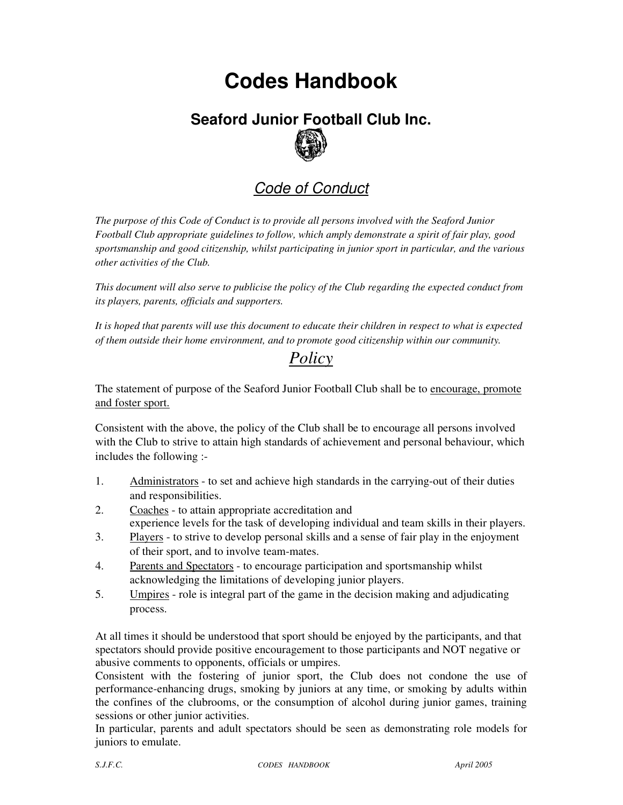## **Codes Handbook**

# **Seaford Junior Football Club Inc.**

## Code of Conduct

*The purpose of this Code of Conduct is to provide all persons involved with the Seaford Junior Football Club appropriate guidelines to follow, which amply demonstrate a spirit of fair play, good sportsmanship and good citizenship, whilst participating in junior sport in particular, and the various other activities of the Club.* 

*This document will also serve to publicise the policy of the Club regarding the expected conduct from its players, parents, officials and supporters.* 

*It is hoped that parents will use this document to educate their children in respect to what is expected of them outside their home environment, and to promote good citizenship within our community.* 

## *Policy*

The statement of purpose of the Seaford Junior Football Club shall be to encourage, promote and foster sport.

Consistent with the above, the policy of the Club shall be to encourage all persons involved with the Club to strive to attain high standards of achievement and personal behaviour, which includes the following :-

- 1. Administrators to set and achieve high standards in the carrying-out of their duties and responsibilities.
- 2. Coaches to attain appropriate accreditation and experience levels for the task of developing individual and team skills in their players.
- 3. Players to strive to develop personal skills and a sense of fair play in the enjoyment of their sport, and to involve team-mates.
- 4. Parents and Spectators to encourage participation and sportsmanship whilst acknowledging the limitations of developing junior players.
- 5. Umpires role is integral part of the game in the decision making and adjudicating process.

At all times it should be understood that sport should be enjoyed by the participants, and that spectators should provide positive encouragement to those participants and NOT negative or abusive comments to opponents, officials or umpires.

Consistent with the fostering of junior sport, the Club does not condone the use of performance-enhancing drugs, smoking by juniors at any time, or smoking by adults within the confines of the clubrooms, or the consumption of alcohol during junior games, training sessions or other junior activities.

In particular, parents and adult spectators should be seen as demonstrating role models for juniors to emulate.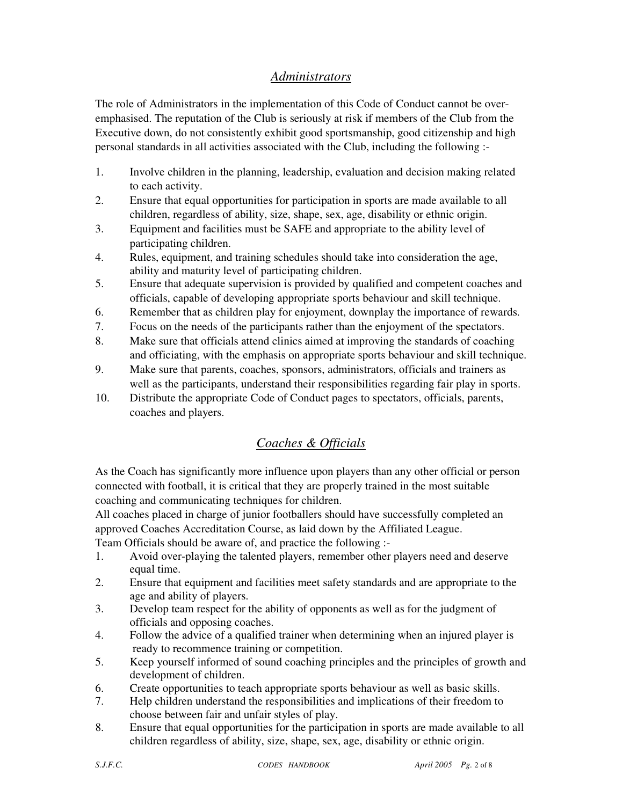#### *Administrators*

The role of Administrators in the implementation of this Code of Conduct cannot be overemphasised. The reputation of the Club is seriously at risk if members of the Club from the Executive down, do not consistently exhibit good sportsmanship, good citizenship and high personal standards in all activities associated with the Club, including the following :-

- 1. Involve children in the planning, leadership, evaluation and decision making related to each activity.
- 2. Ensure that equal opportunities for participation in sports are made available to all children, regardless of ability, size, shape, sex, age, disability or ethnic origin.
- 3. Equipment and facilities must be SAFE and appropriate to the ability level of participating children.
- 4. Rules, equipment, and training schedules should take into consideration the age, ability and maturity level of participating children.
- 5. Ensure that adequate supervision is provided by qualified and competent coaches and officials, capable of developing appropriate sports behaviour and skill technique.
- 6. Remember that as children play for enjoyment, downplay the importance of rewards.
- 7. Focus on the needs of the participants rather than the enjoyment of the spectators.
- 8. Make sure that officials attend clinics aimed at improving the standards of coaching and officiating, with the emphasis on appropriate sports behaviour and skill technique.
- 9. Make sure that parents, coaches, sponsors, administrators, officials and trainers as well as the participants, understand their responsibilities regarding fair play in sports.
- 10. Distribute the appropriate Code of Conduct pages to spectators, officials, parents, coaches and players.

### *Coaches & Officials*

As the Coach has significantly more influence upon players than any other official or person connected with football, it is critical that they are properly trained in the most suitable coaching and communicating techniques for children.

All coaches placed in charge of junior footballers should have successfully completed an approved Coaches Accreditation Course, as laid down by the Affiliated League.

Team Officials should be aware of, and practice the following :-

- 1. Avoid over-playing the talented players, remember other players need and deserve equal time.
- 2. Ensure that equipment and facilities meet safety standards and are appropriate to the age and ability of players.
- 3. Develop team respect for the ability of opponents as well as for the judgment of officials and opposing coaches.
- 4. Follow the advice of a qualified trainer when determining when an injured player is ready to recommence training or competition.
- 5. Keep yourself informed of sound coaching principles and the principles of growth and development of children.
- 6. Create opportunities to teach appropriate sports behaviour as well as basic skills.
- 7. Help children understand the responsibilities and implications of their freedom to choose between fair and unfair styles of play.
- 8. Ensure that equal opportunities for the participation in sports are made available to all children regardless of ability, size, shape, sex, age, disability or ethnic origin.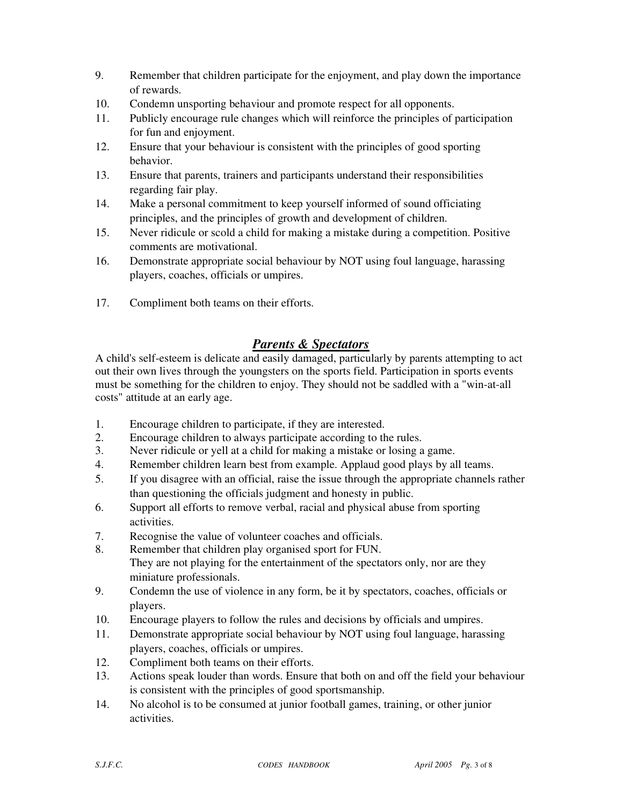- 9. Remember that children participate for the enjoyment, and play down the importance of rewards.
- 10. Condemn unsporting behaviour and promote respect for all opponents.
- 11. Publicly encourage rule changes which will reinforce the principles of participation for fun and enjoyment.
- 12. Ensure that your behaviour is consistent with the principles of good sporting behavior.
- 13. Ensure that parents, trainers and participants understand their responsibilities regarding fair play.
- 14. Make a personal commitment to keep yourself informed of sound officiating principles, and the principles of growth and development of children.
- 15. Never ridicule or scold a child for making a mistake during a competition. Positive comments are motivational.
- 16. Demonstrate appropriate social behaviour by NOT using foul language, harassing players, coaches, officials or umpires.
- 17. Compliment both teams on their efforts.

#### *Parents & Spectators*

A child's self-esteem is delicate and easily damaged, particularly by parents attempting to act out their own lives through the youngsters on the sports field. Participation in sports events must be something for the children to enjoy. They should not be saddled with a "win-at-all costs" attitude at an early age.

- 1. Encourage children to participate, if they are interested.
- 2. Encourage children to always participate according to the rules.
- 3. Never ridicule or yell at a child for making a mistake or losing a game.
- 4. Remember children learn best from example. Applaud good plays by all teams.
- 5. If you disagree with an official, raise the issue through the appropriate channels rather than questioning the officials judgment and honesty in public.
- 6. Support all efforts to remove verbal, racial and physical abuse from sporting activities.
- 7. Recognise the value of volunteer coaches and officials.
- 8. Remember that children play organised sport for FUN. They are not playing for the entertainment of the spectators only, nor are they miniature professionals.
- 9. Condemn the use of violence in any form, be it by spectators, coaches, officials or players.
- 10. Encourage players to follow the rules and decisions by officials and umpires.
- 11. Demonstrate appropriate social behaviour by NOT using foul language, harassing players, coaches, officials or umpires.
- 12. Compliment both teams on their efforts.
- 13. Actions speak louder than words. Ensure that both on and off the field your behaviour is consistent with the principles of good sportsmanship.
- 14. No alcohol is to be consumed at junior football games, training, or other junior activities.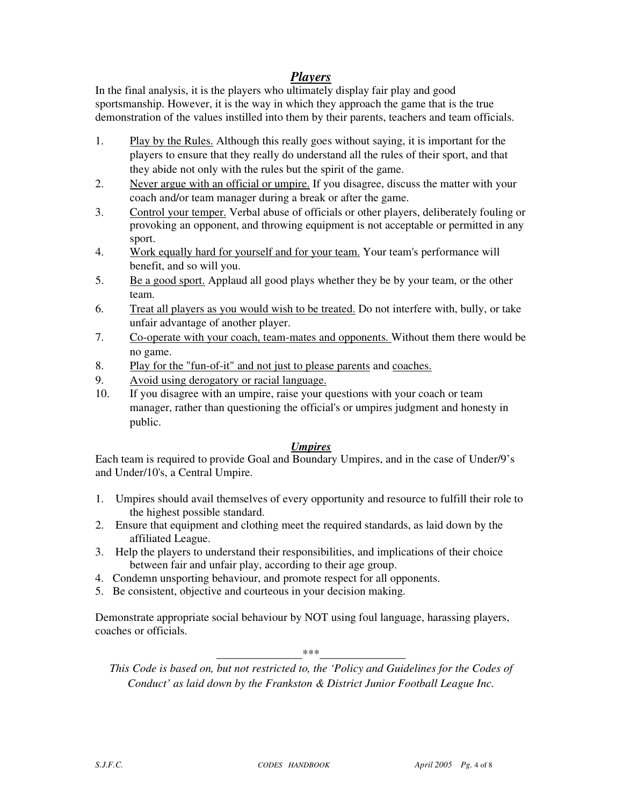#### *Players*

In the final analysis, it is the players who ultimately display fair play and good sportsmanship. However, it is the way in which they approach the game that is the true demonstration of the values instilled into them by their parents, teachers and team officials.

- 1. Play by the Rules. Although this really goes without saying, it is important for the players to ensure that they really do understand all the rules of their sport, and that they abide not only with the rules but the spirit of the game.
- 2. Never argue with an official or umpire. If you disagree, discuss the matter with your coach and/or team manager during a break or after the game.
- 3. Control your temper. Verbal abuse of officials or other players, deliberately fouling or provoking an opponent, and throwing equipment is not acceptable or permitted in any sport.
- 4. Work equally hard for yourself and for your team. Your team's performance will benefit, and so will you.
- 5. Be a good sport. Applaud all good plays whether they be by your team, or the other team.
- 6. Treat all players as you would wish to be treated. Do not interfere with, bully, or take unfair advantage of another player.
- 7. Co-operate with your coach, team-mates and opponents. Without them there would be no game.
- 8. Play for the "fun-of-it" and not just to please parents and coaches.
- 9. Avoid using derogatory or racial language.
- 10. If you disagree with an umpire, raise your questions with your coach or team manager, rather than questioning the official's or umpires judgment and honesty in public.

#### *Umpires*

Each team is required to provide Goal and Boundary Umpires, and in the case of Under/9's and Under/10's, a Central Umpire.

- 1. Umpires should avail themselves of every opportunity and resource to fulfill their role to the highest possible standard.
- 2. Ensure that equipment and clothing meet the required standards, as laid down by the affiliated League.
- 3. Help the players to understand their responsibilities, and implications of their choice between fair and unfair play, according to their age group.
- 4. Condemn unsporting behaviour, and promote respect for all opponents.
- 5. Be consistent, objective and courteous in your decision making.

Demonstrate appropriate social behaviour by NOT using foul language, harassing players, coaches or officials.

\_\_\_\_\_\_\_\_\_\_\_\_\_\_\_\*\*\*\_\_\_\_\_\_\_\_\_\_\_\_\_\_\_

*This Code is based on, but not restricted to, the 'Policy and Guidelines for the Codes of Conduct' as laid down by the Frankston & District Junior Football League Inc.*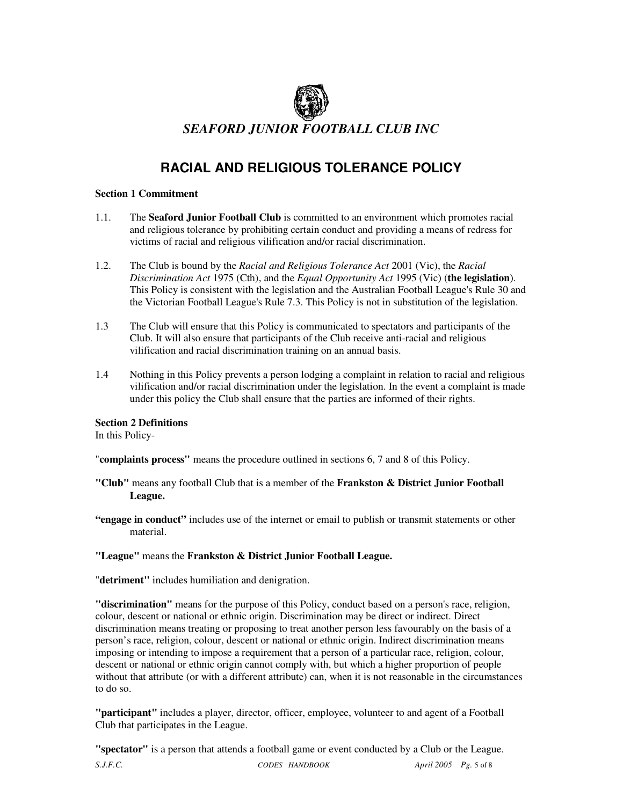

## **RACIAL AND RELIGIOUS TOLERANCE POLICY**

#### **Section 1 Commitment**

- 1.1. The **Seaford Junior Football Club** is committed to an environment which promotes racial and religious tolerance by prohibiting certain conduct and providing a means of redress for victims of racial and religious vilification and/or racial discrimination.
- 1.2. The Club is bound by the *Racial and Religious Tolerance Act* 2001 (Vic), the *Racial Discrimination Act* 1975 (Cth), and the *Equal Opportunity Act* 1995 (Vic) (**the legislation**). This Policy is consistent with the legislation and the Australian Football League's Rule 30 and the Victorian Football League's Rule 7.3. This Policy is not in substitution of the legislation.
- 1.3 The Club will ensure that this Policy is communicated to spectators and participants of the Club. It will also ensure that participants of the Club receive anti-racial and religious vilification and racial discrimination training on an annual basis.
- 1.4 Nothing in this Policy prevents a person lodging a complaint in relation to racial and religious vilification and/or racial discrimination under the legislation. In the event a complaint is made under this policy the Club shall ensure that the parties are informed of their rights.

**Section 2 Definitions** 

In this Policy-

"**complaints process"** means the procedure outlined in sections 6, 7 and 8 of this Policy.

- **"Club"** means any football Club that is a member of the **Frankston & District Junior Football League.**
- **"engage in conduct"** includes use of the internet or email to publish or transmit statements or other material.

#### **"League"** means the **Frankston & District Junior Football League.**

"**detriment"** includes humiliation and denigration.

**"discrimination"** means for the purpose of this Policy, conduct based on a person's race, religion, colour, descent or national or ethnic origin. Discrimination may be direct or indirect. Direct discrimination means treating or proposing to treat another person less favourably on the basis of a person's race, religion, colour, descent or national or ethnic origin. Indirect discrimination means imposing or intending to impose a requirement that a person of a particular race, religion, colour, descent or national or ethnic origin cannot comply with, but which a higher proportion of people without that attribute (or with a different attribute) can, when it is not reasonable in the circumstances to do so.

**"participant"** includes a player, director, officer, employee, volunteer to and agent of a Football Club that participates in the League.

**"spectator"** is a person that attends a football game or event conducted by a Club or the League.

*S.J.F.C. CODES HANDBOOK April 2005 Pg.* 5 of 8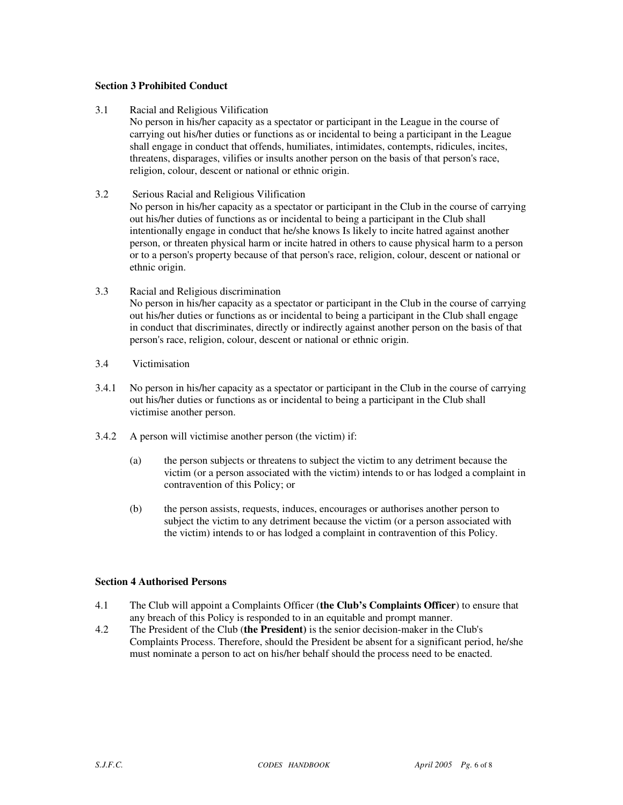#### **Section 3 Prohibited Conduct**

3.1 Racial and Religious Vilification

No person in his/her capacity as a spectator or participant in the League in the course of carrying out his/her duties or functions as or incidental to being a participant in the League shall engage in conduct that offends, humiliates, intimidates, contempts, ridicules, incites, threatens, disparages, vilifies or insults another person on the basis of that person's race, religion, colour, descent or national or ethnic origin.

3.2 Serious Racial and Religious Vilification

No person in his/her capacity as a spectator or participant in the Club in the course of carrying out his/her duties of functions as or incidental to being a participant in the Club shall intentionally engage in conduct that he/she knows Is likely to incite hatred against another person, or threaten physical harm or incite hatred in others to cause physical harm to a person or to a person's property because of that person's race, religion, colour, descent or national or ethnic origin.

- 3.3 Racial and Religious discrimination No person in his/her capacity as a spectator or participant in the Club in the course of carrying out his/her duties or functions as or incidental to being a participant in the Club shall engage in conduct that discriminates, directly or indirectly against another person on the basis of that person's race, religion, colour, descent or national or ethnic origin.
- 3.4 Victimisation
- 3.4.1 No person in his/her capacity as a spectator or participant in the Club in the course of carrying out his/her duties or functions as or incidental to being a participant in the Club shall victimise another person.
- 3.4.2 A person will victimise another person (the victim) if:
	- (a) the person subjects or threatens to subject the victim to any detriment because the victim (or a person associated with the victim) intends to or has lodged a complaint in contravention of this Policy; or
	- (b) the person assists, requests, induces, encourages or authorises another person to subject the victim to any detriment because the victim (or a person associated with the victim) intends to or has lodged a complaint in contravention of this Policy.

#### **Section 4 Authorised Persons**

- 4.1 The Club will appoint a Complaints Officer (**the Club's Complaints Officer**) to ensure that any breach of this Policy is responded to in an equitable and prompt manner.
- 4.2 The President of the Club (**the President)** is the senior decision-maker in the Club's Complaints Process. Therefore, should the President be absent for a significant period, he/she must nominate a person to act on his/her behalf should the process need to be enacted.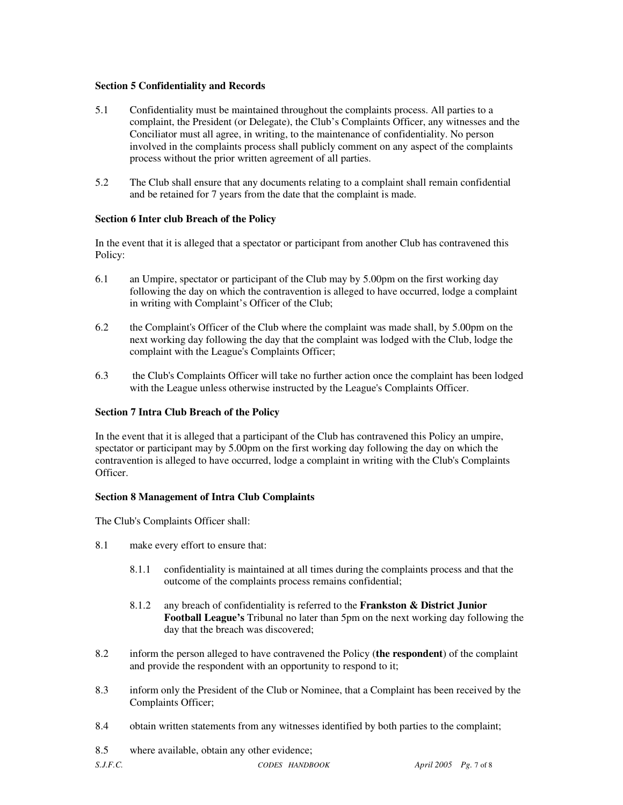#### **Section 5 Confidentiality and Records**

- 5.1 Confidentiality must be maintained throughout the complaints process. All parties to a complaint, the President (or Delegate), the Club's Complaints Officer, any witnesses and the Conciliator must all agree, in writing, to the maintenance of confidentiality. No person involved in the complaints process shall publicly comment on any aspect of the complaints process without the prior written agreement of all parties.
- 5.2 The Club shall ensure that any documents relating to a complaint shall remain confidential and be retained for 7 years from the date that the complaint is made.

#### **Section 6 Inter club Breach of the Policy**

In the event that it is alleged that a spectator or participant from another Club has contravened this Policy:

- 6.1 an Umpire, spectator or participant of the Club may by 5.00pm on the first working day following the day on which the contravention is alleged to have occurred, lodge a complaint in writing with Complaint's Officer of the Club;
- 6.2 the Complaint's Officer of the Club where the complaint was made shall, by 5.00pm on the next working day following the day that the complaint was lodged with the Club, lodge the complaint with the League's Complaints Officer;
- 6.3 the Club's Complaints Officer will take no further action once the complaint has been lodged with the League unless otherwise instructed by the League's Complaints Officer.

#### **Section 7 Intra Club Breach of the Policy**

In the event that it is alleged that a participant of the Club has contravened this Policy an umpire, spectator or participant may by 5.00pm on the first working day following the day on which the contravention is alleged to have occurred, lodge a complaint in writing with the Club's Complaints **Officer** 

#### **Section 8 Management of Intra Club Complaints**

The Club's Complaints Officer shall:

- 8.1 make every effort to ensure that:
	- 8.1.1 confidentiality is maintained at all times during the complaints process and that the outcome of the complaints process remains confidential;
	- 8.1.2 any breach of confidentiality is referred to the **Frankston & District Junior Football League's** Tribunal no later than 5pm on the next working day following the day that the breach was discovered;
- 8.2 inform the person alleged to have contravened the Policy (**the respondent**) of the complaint and provide the respondent with an opportunity to respond to it;
- 8.3 inform only the President of the Club or Nominee, that a Complaint has been received by the Complaints Officer;
- 8.4 obtain written statements from any witnesses identified by both parties to the complaint;
- 8.5 where available, obtain any other evidence;